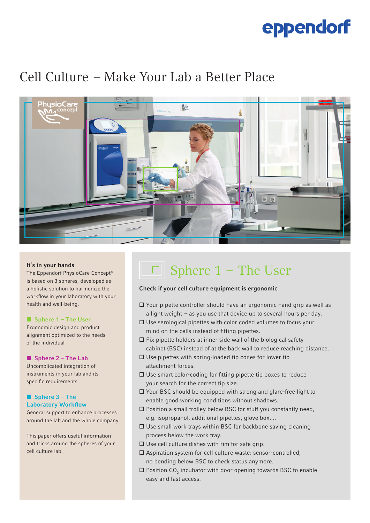# eppendorf

### Cell Culture  – Make Your Lab a Better Place



### It's in your hands

The Eppendorf PhysioCare Concept® is based on 3 spheres, developed as a holistic solution to harmonize the workflow in your laboratory with your health and well-being.

### ■ Sphere 1 – The User

Ergonomic design and product alignment optimized to the needs of the individual

### ■ Sphere 2 – The Lab

Uncomplicated integration of instruments in your lab and its specific requirements

#### ■ Sphere 3 – The Laboratory Workflow

General support to enhance processes around the lab and the whole company

This paper offers useful information and tricks around the spheres of your cell culture lab.

## Sphere 1  –  The User

### Check if your cell culture equipment is ergonomic

- Your pipette controller should have an ergonomic hand grip as well as a light weight  – as you use that device up to several hours per day.
- $\square$  Use serological pipettes with color coded volumes to focus your mind on the cells instead of fitting pipettes.
- $\square$  Fix pipette holders at inner side wall of the biological safety cabinet (BSC) instead of at the back wall to reduce reaching distance.
- $\square$  Use pipettes with spring-loaded tip cones for lower tip attachment forces.
- $\square$  Use smart color-coding for fitting pipette tip boxes to reduce your search for the correct tip size.
- □ Your BSC should be equipped with strong and glare-free light to enable good working conditions without shadows.
- $\square$  Position a small trolley below BSC for stuff you constantly need, e.g. isopropanol, additional pipettes, glove box,...
- $\square$  Use small work trays within BSC for backbone saving cleaning process below the work tray.
- $\square$  Use cell culture dishes with rim for safe grip.
- Aspiration system for cell culture waste: sensor-controlled, no bending below BSC to check status anymore.
- $\square$  Position CO<sub>2</sub> incubator with door opening towards BSC to enable easy and fast access.